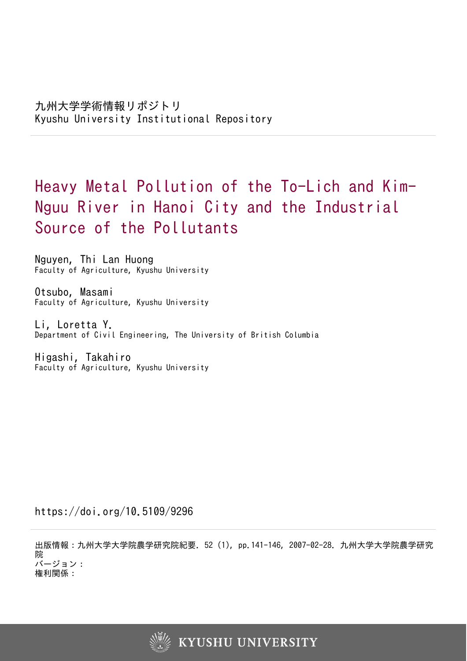# Heavy Metal Pollution of the To-Lich and Kim-Nguu River in Hanoi City and the Industrial Source of the Pollutants

Nguyen, Thi Lan Huong Faculty of Agriculture, Kyushu University

Otsubo, Masami Faculty of Agriculture, Kyushu University

Li, Loretta Y. Department of Civil Engineering, The University of British Columbia

Higashi, Takahiro Faculty of Agriculture, Kyushu University

https://doi.org/10.5109/9296

出版情報:九州大学大学院農学研究院紀要. 52 (1), pp.141-146, 2007-02-28. 九州大学大学院農学研究 院 バージョン: 権利関係:

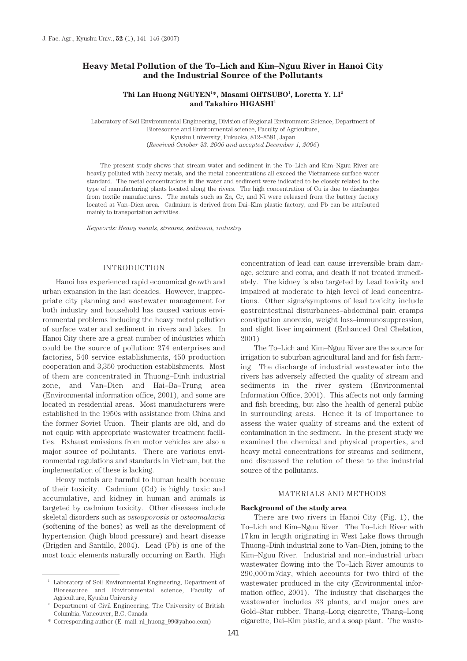# **Heavy Metal Pollution of the To–Lich and Kim–Nguu River in Hanoi City and the Industrial Source of the Pollutants**

# **Thi Lan Huong NGUYEN1 \*, Masami OHTSUBO1 , Loretta Y. LI2 and Takahiro HIGASHI1**

Laboratory of Soil Environmental Engineering, Division of Regional Environment Science, Department of Bioresource and Environmental science, Faculty of Agriculture, Kyushu University, Fukuoka, 812–8581, Japan (*Received October 23, 2006 and accepted December 1, 2006*)

The present study shows that stream water and sediment in the To–Lich and Kim–Nguu River are heavily polluted with heavy metals, and the metal concentrations all exceed the Vietnamese surface water standard. The metal concentrations in the water and sediment were indicated to be closely related to the type of manufacturing plants located along the rivers. The high concentration of Cu is due to discharges from textile manufactures. The metals such as Zn, Cr, and Ni were released from the battery factory located at Van–Dien area. Cadmium is derived from Dai–Kim plastic factory, and Pb can be attributed mainly to transportation activities.

*Keywords: Heavy metals, streams, sediment, industry*

# INTRODUCTION

Hanoi has experienced rapid economical growth and urban expansion in the last decades. However, inappropriate city planning and wastewater management for both industry and household has caused various environmental problems including the heavy metal pollution of surface water and sediment in rivers and lakes. In Hanoi City there are a great number of industries which could be the source of pollution: 274 enterprises and factories, 540 service establishments, 450 production cooperation and 3,350 production establishments. Most of them are concentrated in Thuong–Dinh industrial zone, and Van–Dien and Hai–Ba–Trung area (Environmental information office, 2001), and some are located in residential areas. Most manufacturers were established in the 1950s with assistance from China and the former Soviet Union. Their plants are old, and do not equip with appropriate wastewater treatment facilities. Exhaust emissions from motor vehicles are also a major source of pollutants. There are various environmental regulations and standards in Vietnam, but the implementation of these is lacking.

Heavy metals are harmful to human health because of their toxicity. Cadmium (Cd) is highly toxic and accumulative, and kidney in human and animals is targeted by cadmium toxicity. Other diseases include skeletal disorders such as *osteoporosis* or *osteomalacia* (softening of the bones) as well as the development of hypertension (high blood pressure) and heart disease (Brigden and Santillo, 2004). Lead (Pb) is one of the most toxic elements naturally occurring on Earth. High

constipation anorexia, weight loss–immunosuppression, and slight liver impairment (Enhanced Oral Chelation, 2001) The To–Lich and Kim–Nguu River are the source for irrigation to suburban agricultural land and for fish farming. The discharge of industrial wastewater into the rivers has adversely affected the quality of stream and sediments in the river system (Environmental Information Office, 2001). This affects not only farming and fish breeding, but also the health of general public in surrounding areas. Hence it is of importance to

concentration of lead can cause irreversible brain damage, seizure and coma, and death if not treated immediately. The kidney is also targeted by Lead toxicity and impaired at moderate to high level of lead concentrations. Other signs/symptoms of lead toxicity include gastrointestinal disturbances–abdominal pain cramps

assess the water quality of streams and the extent of contamination in the sediment. In the present study we examined the chemical and physical properties, and heavy metal concentrations for streams and sediment, and discussed the relation of these to the industrial source of the pollutants.

## MATERIALS AND METHODS

#### **Background of the study area**

There are two rivers in Hanoi City (Fig. 1), the To–Lich and Kim–Nguu River. The To–Lich River with 17 km in length originating in West Lake flows through Thuong–Dinh industrial zone to Van–Dien, joining to the Kim–Nguu River. Industrial and non–industrial urban wastewater flowing into the To–Lich River amounts to 290,000 m3 /day, which accounts for two third of the wastewater produced in the city (Environmental information office, 2001). The industry that discharges the wastewater includes 33 plants, and major ones are Gold–Star rubber, Thang–Long cigarette, Thang–Long cigarette, Dai–Kim plastic, and a soap plant. The waste-

<sup>1</sup> Laboratory of Soil Environmental Engineering, Department of Bioresource and Environmental science, Faculty of Agriculture, Kyushu University

<sup>2</sup> Department of Civil Engineering, The University of British Columbia, Vancouver, B.C, Canada

<sup>\*</sup> Corresponding author (E–mail: nl\_huong\_99@yahoo.com)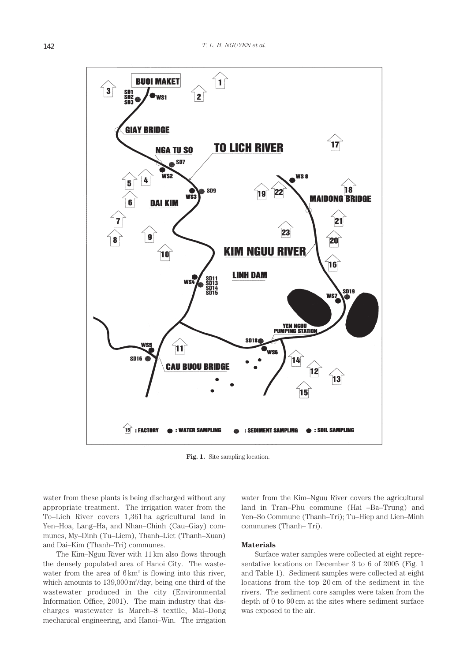

Fig. 1. Site sampling location.

water from these plants is being discharged without any appropriate treatment. The irrigation water from the To–Lich River covers 1,361 ha agricultural land in Yen–Hoa, Lang–Ha, and Nhan–Chinh (Cau–Giay) communes, My–Dinh (Tu–Liem), Thanh–Liet (Thanh–Xuan) and Dai–Kim (Thanh–Tri) communes.

The Kim–Nguu River with 11 km also flows through the densely populated area of Hanoi City. The wastewater from the area of  $6 \text{ km}^2$  is flowing into this river, which amounts to 139,000 m<sup>3</sup>/day, being one third of the wastewater produced in the city (Environmental Information Office, 2001). The main industry that discharges wastewater is March–8 textile, Mai–Dong mechanical engineering, and Hanoi–Win. The irrigation

water from the Kim–Nguu River covers the agricultural land in Tran–Phu commune (Hai –Ba–Trung) and Yen–So Commune (Thanh–Tri); Tu–Hiep and Lien–Minh communes (Thanh– Tri).

#### **Materials**

Surface water samples were collected at eight representative locations on December 3 to 6 of 2005 (Fig. 1 and Table 1). Sediment samples were collected at eight locations from the top 20 cm of the sediment in the rivers. The sediment core samples were taken from the depth of 0 to 90 cm at the sites where sediment surface was exposed to the air.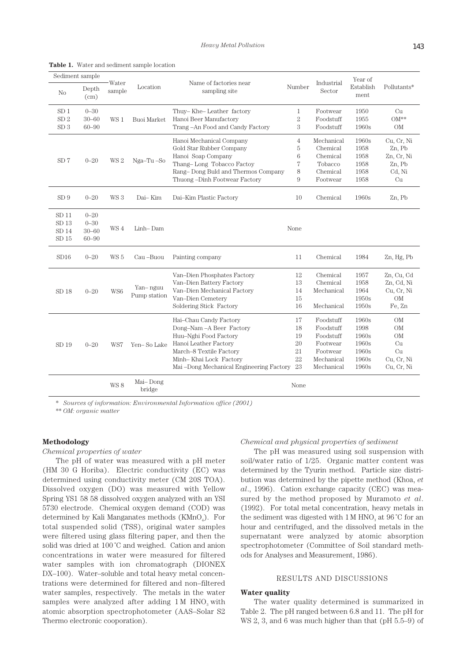| Sediment sample  |               |                 |                    |                                                   |                |                      | Year of           |             |
|------------------|---------------|-----------------|--------------------|---------------------------------------------------|----------------|----------------------|-------------------|-------------|
| N <sub>0</sub>   | Depth<br>(cm) | Water<br>sample | Location           | Name of factories near<br>Number<br>sampling site |                | Industrial<br>Sector | Establish<br>ment | Pollutants* |
| SD <sub>1</sub>  | $0 - 30$      |                 |                    | Thuy–Khe–Leather factory                          | 1              | Footwear             | 1950              | Cu          |
| SD <sub>2</sub>  | $30 - 60$     | WS 1            | <b>Buoi Market</b> | Hanoi Beer Manufactory                            | $\,2$          | Foodstuff            | 1955              | $OM**$      |
| SD <sub>3</sub>  | $60 - 90$     |                 |                    | Trang-An Food and Candy Factory                   | 3              | Foodstuff            | 1960s             | OM          |
|                  |               |                 |                    | Hanoi Mechanical Company                          | $\overline{4}$ | Mechanical           | 1960s             | Cu, Cr, Ni  |
|                  |               |                 |                    | Gold Star Rubber Company                          | 5              | Chemical             | 1958              | Zn, Pb      |
|                  |               |                 |                    | Hanoi Soap Company                                | 6              | Chemical             | 1958              | Zn, Cr, Ni  |
| SD <sub>7</sub>  | $0 - 20$      | WS <sub>2</sub> | Nga-Tu-So          | Thang-Long Tobacco Factoy                         | 7              | Tobacco              | 1958              | Zn, Pb      |
|                  |               |                 |                    | Rang–Dong Buld and Thermos Company                | 8              | Chemical             | 1958              | Cd, Ni      |
|                  |               |                 |                    | Thuong-Dinh Footwear Factory                      | 9              | Footwear             | 1958              | Cu          |
| SD9              | $0 - 20$      | WS 3            | Dai-Kim            | Dai-Kim Plastic Factory                           | 10             | Chemical             | 1960s             | Zn, Pb      |
| $SD$ 11          | $0 - 20$      |                 |                    |                                                   |                |                      |                   |             |
| SD <sub>13</sub> | $0 - 30$      |                 |                    |                                                   |                |                      |                   |             |
| SD <sub>14</sub> | $30 - 60$     | WS 4            | Linh-Dam           |                                                   | None           |                      |                   |             |
| SD <sub>15</sub> | $60 - 90$     |                 |                    |                                                   |                |                      |                   |             |
| SD16             | $0 - 20$      | WS <sub>5</sub> | Cau-Buou           | Painting company                                  | 11             | Chemical             | 1984              | Zn, Hg, Pb  |
|                  |               |                 |                    | Van-Dien Phosphates Factory                       | 12             | Chemical             | 1957              | Zn, Cu, Cd  |
|                  |               |                 |                    | Van-Dien Battery Factory                          | 13             | Chemical             | 1958              | Zn, Cd, Ni  |
| SD 18            | $0 - 20$      | WS6             | Yan-nguu           | Van-Dien Mechanical Factory                       | 14             | Mechanical           | 1964              | Cu, Cr, Ni  |
|                  |               |                 | Pump station       | Van-Dien Cemetery                                 | 15             |                      | 1950s             | $\rm OM$    |
|                  |               |                 |                    | Soldering Stick Factory                           | 16             | Mechanical           | 1950s             | Fe, Zn      |
|                  |               |                 |                    | Hai-Chau Candy Factory                            | 17             | Foodstuff            | 1960s             | <b>OM</b>   |
|                  |               |                 |                    | Dong-Nam - A Beer Factory                         | 18             | Foodstuff            | 1998              | OM          |
|                  |               |                 |                    | Huu-Nghi Food Factory                             | 19             | Foodstuff            | 1960s             | <b>OM</b>   |
| SD <sub>19</sub> | $0 - 20$      | WS7             | Yen-So Lake        | Hanoi Leather Factory                             | 20             | Footwear             | 1960s             | Cu          |
|                  |               |                 |                    | March-8 Textile Factory                           | 21             | Footwear             | 1960s             | Cu          |
|                  |               |                 |                    | Minh-Khai Lock Factory                            | 22             | Mechanical           | 1960s             | Cu, Cr, Ni  |
|                  |               |                 |                    | Mai-Dong Mechanical Engineering Factory           | 23             | Mechanical           | 1960s             | Cu, Cr, Ni  |
|                  |               | WS8             | Mai-Dong<br>bridge |                                                   | None           |                      |                   |             |

**Table 1.** Water and sediment sample location

\* *Sources of information: Environmental Information office (2001)*

\*\* *OM: organic matter*

# **Methodology**

*Chemical properties of water* 

The pH of water was measured with a pH meter (HM 30 G Horiba). Electric conductivity (EC) was determined using conductivity meter (CM 20S TOA). Dissolved oxygen (DO) was measured with Yellow Spring YS1 58 58 dissolved oxygen analyzed with an YSI 5730 electrode. Chemical oxygen demand (COD) was determined by Kali Manganates methods ( $KMnO<sub>4</sub>$ ). For total suspended solid (TSS), original water samples were filtered using glass filtering paper, and then the solid was dried at 100 °C and weighed. Cation and anion concentrations in water were measured for filtered water samples with ion chromatograph (DIONEX DX–100). Water–soluble and total heavy metal concentrations were determined for filtered and non–filtered water samples, respectively. The metals in the water samples were analyzed after adding  $1 M HNO<sub>3</sub>$  with atomic absorption spectrophotometer (AAS–Solar S2 Thermo electronic cooporation).

#### *Chemical and physical properties of sediment*

The pH was measured using soil suspension with soil/water ratio of 1/25. Organic matter content was determined by the Tyurin method. Particle size distribution was determined by the pipette method (Khoa, *et al*., 1996). Cation exchange capacity (CEC) was measured by the method proposed by Muramoto *et al*. (1992). For total metal concentration, heavy metals in the sediment was digested with  $1 M HNO<sub>3</sub>$  at  $96 °C$  for an hour and centrifuged, and the dissolved metals in the supernatant were analyzed by atomic absorption spectrophotometer (Committee of Soil standard methods for Analyses and Measurement, 1986).

# RESULTS AND DISCUSSIONS

#### **Water quality**

The water quality determined is summarized in Table 2. The pH ranged between 6.8 and 11. The pH for WS 2, 3, and 6 was much higher than that (pH 5.5–9) of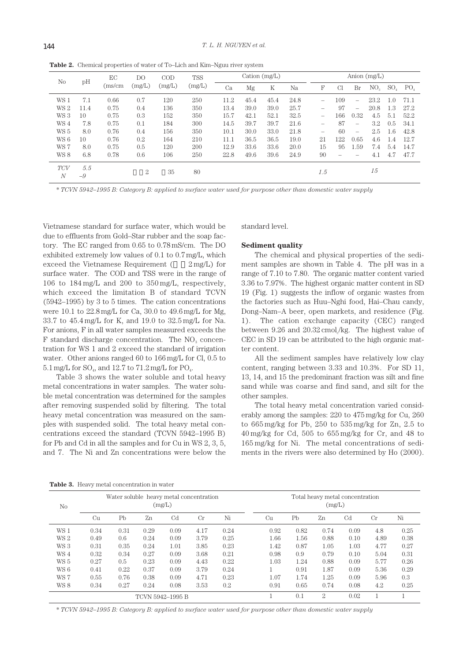| N <sub>0</sub>               |             | EС<br>(ms/cm | DO<br>(mg/L) | $\rm COD$<br>(mg/L) | <b>TSS</b><br>(mg/L) | Cation $(mg/L)$ |      |      | Anion $(mg/L)$ |                          |     |      |                 |            |                 |
|------------------------------|-------------|--------------|--------------|---------------------|----------------------|-----------------|------|------|----------------|--------------------------|-----|------|-----------------|------------|-----------------|
|                              | pH          |              |              |                     |                      | Ca              | Mg   | K    | Na             | F                        | Cl  | Br   | NO <sub>2</sub> | $SO_{4}$   | PO <sub>4</sub> |
| WS 1                         | 7.1         | 0.66         | 0.7          | 120                 | 250                  | 11.2            | 45.4 | 45.4 | 24.8           | $\overline{\phantom{a}}$ | 109 |      | 23.2            |            | 71.1            |
| WS <sub>2</sub>              | 11.4        | 0.75         | 0.4          | 136                 | 350                  | 13.4            | 39.0 | 39.0 | 25.7           | $\overline{\phantom{a}}$ | 97  |      | 20.8            | $\cdot$ .3 | 27.2            |
| WS 3                         | 10          | 0.75         | 0.3          | 152                 | 350                  | 15.7            | 42.1 | 52.1 | 32.5           | -                        | 166 | 0.32 | 4.5             | 5.1        | 52.2            |
| WS4                          | 7.8         | 0.75         | 0.1          | 184                 | 300                  | 14.5            | 39.7 | 39.7 | 21.6           | -                        | 87  | -    | 3.2             | 0.5        | 34.1            |
| WS 5                         | 8.0         | 0.76         | 0.4          | 156                 | 350                  | 10.1            | 30.0 | 33.0 | 21.8           | -                        | 60  |      | 2.5             | .6         | 42.8            |
| WS 6                         | 10          | 0.76         | 0.2          | 164                 | 210                  | 11.1            | 36.5 | 36.5 | 19.0           | 21                       | 122 | 0.65 | 4.6             | $\cdot$ 4  | 12.7            |
| WS 7                         | 8.0         | 0.75         | 0.5          | 120                 | 200                  | 12.9            | 33.6 | 33.6 | 20.0           | 15                       | 95  | 1.59 | 7.4             | 5.4        | 14.7            |
| WS 8                         | 6.8         | 0.78         | 0.6          | 106                 | 250                  | 22.8            | 49.6 | 39.6 | 24.9           | 90                       |     |      | 4.1             | 4.7        | 47.7            |
| <b>TCV</b><br>$\overline{N}$ | 5.5<br>$-9$ |              | 2            | 35                  | 80                   |                 |      |      |                | 1.5                      |     |      | 15              |            |                 |

**Table 2.** Chemical properties of water of To–Lich and Kim–Nguu river system

\* *TCVN 5942–1995 B: Category B: applied to surface water used for purpose other than domestic water supply*

Vietnamese standard for surface water, which would be due to effluents from Gold–Star rubber and the soap factory. The EC ranged from 0.65 to 0.78 mS/cm. The DO exhibited extremely low values of 0.1 to 0.7 mg/L, which exceed the Vietnamese Requirement ( $2$  mg/L) for surface water. The COD and TSS were in the range of 106 to 184 mg/L and 200 to 350 mg/L, respectively, which exceed the limitation B of standard TCVN (5942–1995) by 3 to 5 times. The cation concentrations were 10.1 to 22.8 mg/L for Ca, 30.0 to 49.6 mg/L for Mg, 33.7 to 45.4 mg/L for K, and 19.0 to 32.5 mg/L for Na. For anions, F in all water samples measured exceeds the  $F$  standard discharge concentration. The  $NO<sub>3</sub>$  concentration for WS 1 and 2 exceed the standard of irrigation water. Other anions ranged 60 to 166 mg/L for Cl, 0.5 to 5.1 mg/L for  $\text{SO}_4$ , and 12.7 to 71.2 mg/L for  $\text{PO}_4$ .

Table 3 shows the water soluble and total heavy metal concentrations in water samples. The water soluble metal concentration was determined for the samples after removing suspended solid by filtering. The total heavy metal concentration was measured on the samples with suspended solid. The total heavy metal concentrations exceed the standard (TCVN 5942–1995 B) for Pb and Cd in all the samples and for Cu in WS 2, 3, 5, and 7. The Ni and Zn concentrations were below the standard level.

#### **Sediment quality**

The chemical and physical properties of the sediment samples are shown in Table 4. The pH was in a range of 7.10 to 7.80. The organic matter content varied 3.36 to 7.97%. The highest organic matter content in SD 19 (Fig. 1) suggests the inflow of organic wastes from the factories such as Huu–Nghi food, Hai–Chau candy, Dong–Nam–A beer, open markets, and residence (Fig. 1). The cation exchange capacity (CEC) ranged between  $9.26$  and  $20.32$  cmol/kg. The highest value of CEC in SD 19 can be attributed to the high organic matter content.

All the sediment samples have relatively low clay content, ranging between 3.33 and 10.3%. For SD 11, 13, 14, and 15 the predominant fraction was silt and fine sand while was coarse and find sand, and silt for the other samples.

The total heavy metal concentration varied considerably among the samples: 220 to 475 mg/kg for Cu, 260 to 665 mg/kg for Pb, 250 to 535 mg/kg for Zn, 2.5 to 40 mg/kg for Cd, 505 to 655 mg/kg for Cr, and 48 to 165 mg/kg for Ni. The metal concentrations of sediments in the rivers were also determined by Ho (2000).

**Table 3.** Heavy metal concentration in water

| N <sub>0</sub>  |      |      |      | Water soluble heavy metal concentration<br>(mg/L) |      |      | Total heavy metal concentration<br>(mg/L) |      |      |                |      |      |  |
|-----------------|------|------|------|---------------------------------------------------|------|------|-------------------------------------------|------|------|----------------|------|------|--|
|                 | Cu   | Pb   | Zn   | C <sub>d</sub>                                    | Cr   | Ni   | Сu                                        | Ph   | Zn   | C <sub>d</sub> | Cr   | Ni   |  |
| WS 1            | 0.34 | 0.31 | 0.29 | 0.09                                              | 4.17 | 0.24 | 0.92                                      | 0.82 | 0.74 | 0.09           | 4.8  | 0.25 |  |
| WS <sub>2</sub> | 0.49 | 0.6  | 0.24 | 0.09                                              | 3.79 | 0.25 | L.66                                      | 1.56 | 0.88 | 0.10           | 4.89 | 0.38 |  |
| WS 3            | 0.31 | 0.35 | 0.24 | 1.01                                              | 3.85 | 0.23 | l.42                                      | 0.87 | 1.05 | 1.03           | 4.77 | 0.27 |  |
| WS 4            | 0.32 | 0.34 | 0.27 | 0.09                                              | 3.68 | 0.21 | 0.98                                      | 0.9  | 0.79 | 0.10           | 5.04 | 0.31 |  |
| WS 5            | 0.27 | 0.5  | 0.23 | 0.09                                              | 4.43 | 0.22 | 1.03                                      | 1.24 | 0.88 | 0.09           | 5.77 | 0.26 |  |
| WS 6            | 0.41 | 0.22 | 0.37 | 0.09                                              | 3.79 | 0.24 |                                           | 0.91 | 1.87 | 0.09           | 5.36 | 0.29 |  |
| WS 7            | 0.55 | 0.76 | 0.38 | 0.09                                              | 4.71 | 0.23 | 1.07                                      | 1.74 | 1.25 | 0.09           | 5.96 | 0.3  |  |
| WS 8            | 0.34 | 0.27 | 0.24 | 0.08                                              | 3.53 | 0.2  | 0.91                                      | 0.65 | 0.74 | 0.08           | 4.2  | 0.25 |  |
|                 |      |      |      | TCVN 5942-1995 B                                  |      |      |                                           | 0.1  | 2    | 0.02           |      |      |  |

\* *TCVN 5942–1995 B: Category B: applied to surface water used for purpose other than domestic water supply*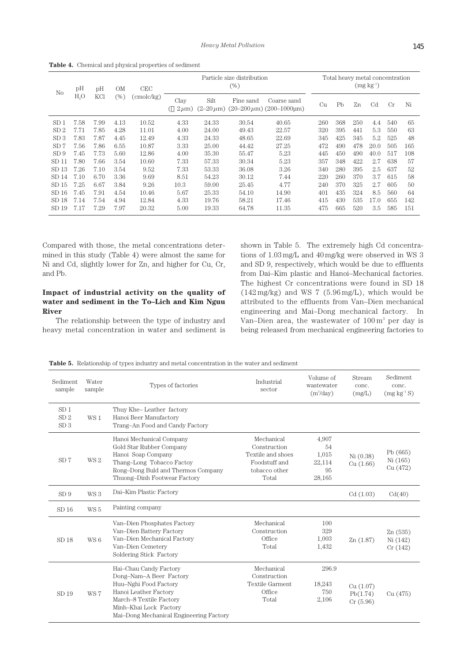| N <sub>0</sub>   | pН             | pH<br>KCl | ΟM<br>(%) | CEC<br>(cmolc/kg) | Particle size distribution<br>(%) |       |           |                                                                                           | Total heavy metal concentration<br>$(mg kg-1)$ |     |     |                |     |     |
|------------------|----------------|-----------|-----------|-------------------|-----------------------------------|-------|-----------|-------------------------------------------------------------------------------------------|------------------------------------------------|-----|-----|----------------|-----|-----|
|                  | H <sub>0</sub> |           |           |                   | Clay<br>$2\mu$ m)                 | Silt  | Fine sand | Coarse sand<br>$(2-20 \,\mu\text{m})$ $(20-200 \,\mu\text{m})$ $(200-1000 \,\mu\text{m})$ | Cu                                             | Pb  | Zn  | C <sub>d</sub> | Cr  | Ni  |
| SD <sub>1</sub>  | 7.58           | 7.99      | 4.13      | 10.52             | 4.33                              | 24.33 | 30.54     | 40.65                                                                                     | 260                                            | 368 | 250 | 4.4            | 540 | 65  |
| SD <sub>2</sub>  | 7.71           | 7.85      | 4.28      | 11.01             | 4.00                              | 24.00 | 49.43     | 22.57                                                                                     | 320                                            | 395 | 441 | 5.3            | 550 | 63  |
| SD <sub>3</sub>  | 7.83           | 7.87      | 4.45      | 12.49             | 4.33                              | 24.33 | 48.65     | 22.69                                                                                     | 345                                            | 425 | 345 | 5.2            | 525 | 48  |
| SD <sub>7</sub>  | 7.56           | 7.86      | 6.55      | 10.87             | 3.33                              | 25.00 | 44.42     | 27.25                                                                                     | 472                                            | 490 | 478 | 20.0           | 505 | 165 |
| SD9              | 7.45           | 7.73      | 5.60      | 12.86             | 4.00                              | 35.30 | 55.47     | 5.23                                                                                      | 445                                            | 450 | 490 | 40.0           | 517 | 108 |
| SD 11            | 7.80           | 7.66      | 3.54      | 10.60             | 7.33                              | 57.33 | 30.34     | 5.23                                                                                      | 357                                            | 348 | 422 | 2.7            | 638 | 57  |
| SD 13            | 7.26           | 7.10      | 3.54      | 9.52              | 7.33                              | 53.33 | 36.08     | 3.26                                                                                      | 340                                            | 280 | 395 | 2.5            | 637 | 52  |
| SD 14            | 7.10           | 6.70      | 3.36      | 9.69              | 8.51                              | 54.23 | 30.12     | 7.44                                                                                      | 220                                            | 260 | 370 | 3.7            | 615 | 58  |
| SD <sub>15</sub> | 7.25           | 6.67      | 3.84      | 9.26              | 10.3                              | 59.00 | 25.45     | 4.77                                                                                      | 240                                            | 370 | 325 | 2.7            | 605 | 50  |
| SD 16            | 7.45           | 7.91      | 4.54      | 10.46             | 5.67                              | 25.33 | 54.10     | 14.90                                                                                     | 401                                            | 435 | 324 | 8.5            | 560 | 64  |
| SD 18            | 7.14           | 7.54      | 4.94      | 12.84             | 4.33                              | 19.76 | 58.21     | 17.46                                                                                     | 415                                            | 430 | 535 | 17.0           | 655 | 142 |
| SD <sub>19</sub> | 7.17           | 7.29      | 7.97      | 20.32             | 5.00                              | 19.33 | 64.78     | 11.35                                                                                     | 475                                            | 665 | 520 | 3.5            | 585 | 151 |

**Table 4.** Chemical and physical properties of sediment

Compared with those, the metal concentrations determined in this study (Table 4) were almost the same for Ni and Cd, slightly lower for Zn, and higher for Cu, Cr, and Pb.

# **Impact of industrial activity on the quality of water and sediment in the To–Lich and Kim Nguu River**

The relationship between the type of industry and heavy metal concentration in water and sediment is

shown in Table 5. The extremely high Cd concentrations of 1.03 mg/L and 40 mg/kg were observed in WS 3 and SD 9, respectively, which would be due to effluents from Dai–Kim plastic and Hanoi–Mechanical factories. The highest Cr concentrations were found in SD 18  $(142 \text{ mg/kg})$  and WS 7  $(5.96 \text{ mg/L})$ , which would be attributed to the effluents from Van–Dien mechanical engineering and Mai–Dong mechanical factory. In Van–Dien area, the wastewater of  $100 \,\mathrm{m}^3$  per day is being released from mechanical engineering factories to

**Table 5.** Relationship of types industry and metal concentration in the water and sediment

| Sediment<br>sample                                    | Water<br>sample | Types of factories                                                                                                                                                                                  | Industrial<br>sector                                                                       | Volume of<br>wastewater<br>$(m^3/day)$         | Stream<br>conc.<br>(mg/L)        | Sediment<br>conc.<br>$(mg kg^{-1} S)$ |
|-------------------------------------------------------|-----------------|-----------------------------------------------------------------------------------------------------------------------------------------------------------------------------------------------------|--------------------------------------------------------------------------------------------|------------------------------------------------|----------------------------------|---------------------------------------|
| SD <sub>1</sub><br>SD <sub>2</sub><br>SD <sub>3</sub> | WS 1            | Thuy Khe-Leather factory<br>Hanoi Beer Manufactory<br>Trang-An Food and Candy Factory                                                                                                               |                                                                                            |                                                |                                  |                                       |
| SD <sub>7</sub>                                       | WS <sub>2</sub> | Hanoi Mechanical Company<br>Gold Star Rubber Company<br>Hanoi Soap Company<br>Thang-Long Tobacco Factoy<br>Rong-Dong Buld and Thermos Company<br>Thuong-Dinh Footwear Factory                       | Mechanical<br>Construction<br>Textile and shoes<br>Foodstuff and<br>tobacco other<br>Total | 4,907<br>54<br>1,015<br>22,114<br>95<br>28,165 | Ni (0.38)<br>Cu(1.66)            | Pb (665)<br>Ni (165)<br>Cu (472)      |
| SD9                                                   | WS <sub>3</sub> | Dai-Kim Plastic Factory                                                                                                                                                                             |                                                                                            |                                                | Cd(1.03)                         | Cd(40)                                |
| SD <sub>16</sub>                                      | WS <sub>5</sub> | Painting company                                                                                                                                                                                    |                                                                                            |                                                |                                  |                                       |
| SD 18                                                 | WS 6            | Van-Dien Phosphates Factory<br>Van-Dien Battery Factory<br>Van-Dien Mechanical Factory<br>Van-Dien Cemetery<br>Soldering Stick Factory                                                              | Mechanical<br>Construction<br>Office<br>Total                                              | 100<br>329<br>1,003<br>1,432                   | Zn(1.87)                         | Zn(535)<br>Ni (142)<br>Cr(142)        |
| SD <sub>19</sub>                                      | WS 7            | Hai-Chau Candy Factory<br>Dong-Nam-A Beer Factory<br>Huu-Nghi Food Factory<br>Hanoi Leather Factory<br>March-8 Textile Factory<br>Minh-Khai Lock Factory<br>Mai-Dong Mechanical Engineering Factory | Mechanical<br>Construction<br><b>Textile Garment</b><br>Office<br>Total                    | 296.9<br>18,243<br>750<br>2,106                | Cu(1.07)<br>Pb(1.74)<br>Cr(5.96) | Cu (475)                              |